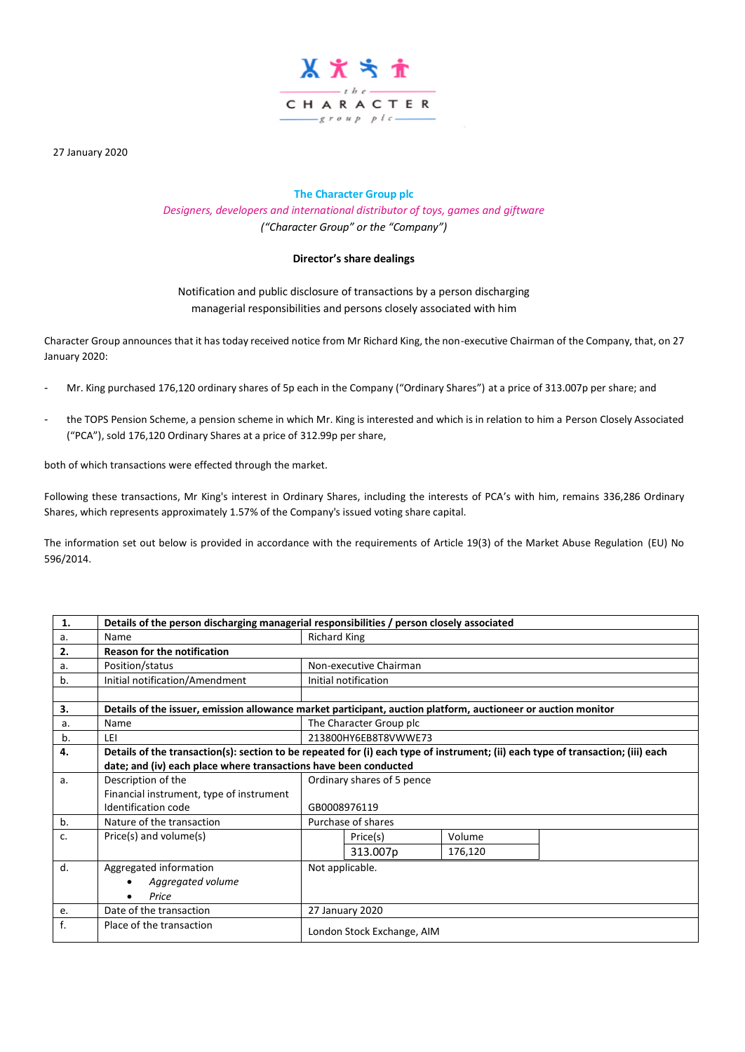

27 January 2020

# **The Character Group plc**

*Designers, developers and international distributor of toys, games and giftware ("Character Group" or the "Company")*

# **Director's share dealings**

Notification and public disclosure of transactions by a person discharging managerial responsibilities and persons closely associated with him

Character Group announces that it has today received notice from Mr Richard King, the non-executive Chairman of the Company, that, on 27 January 2020:

- Mr. King purchased 176,120 ordinary shares of 5p each in the Company ("Ordinary Shares") at a price of 313.007p per share; and
- the TOPS Pension Scheme, a pension scheme in which Mr. King is interested and which is in relation to him a Person Closely Associated ("PCA"), sold 176,120 Ordinary Shares at a price of 312.99p per share,

both of which transactions were effected through the market.

Following these transactions, Mr King's interest in Ordinary Shares, including the interests of PCA's with him, remains 336,286 Ordinary Shares, which represents approximately 1.57% of the Company's issued voting share capital.

The information set out below is provided in accordance with the requirements of Article 19(3) of the Market Abuse Regulation (EU) No 596/2014.

| 1. | Details of the person discharging managerial responsibilities / person closely associated                     |                                                                                                                                  |                     |         |  |  |  |  |  |
|----|---------------------------------------------------------------------------------------------------------------|----------------------------------------------------------------------------------------------------------------------------------|---------------------|---------|--|--|--|--|--|
| а. | Name                                                                                                          |                                                                                                                                  | <b>Richard King</b> |         |  |  |  |  |  |
| 2. | <b>Reason for the notification</b>                                                                            |                                                                                                                                  |                     |         |  |  |  |  |  |
| а. | Position/status                                                                                               | Non-executive Chairman                                                                                                           |                     |         |  |  |  |  |  |
| b. | Initial notification/Amendment                                                                                | Initial notification                                                                                                             |                     |         |  |  |  |  |  |
|    |                                                                                                               |                                                                                                                                  |                     |         |  |  |  |  |  |
| 3. | Details of the issuer, emission allowance market participant, auction platform, auctioneer or auction monitor |                                                                                                                                  |                     |         |  |  |  |  |  |
| a. | Name                                                                                                          | The Character Group plc                                                                                                          |                     |         |  |  |  |  |  |
| b. | LEI                                                                                                           | 213800HY6EB8T8VWWE73                                                                                                             |                     |         |  |  |  |  |  |
| 4. |                                                                                                               | Details of the transaction(s): section to be repeated for (i) each type of instrument; (ii) each type of transaction; (iii) each |                     |         |  |  |  |  |  |
|    | date; and (iv) each place where transactions have been conducted                                              |                                                                                                                                  |                     |         |  |  |  |  |  |
| a. | Description of the                                                                                            | Ordinary shares of 5 pence                                                                                                       |                     |         |  |  |  |  |  |
|    | Financial instrument, type of instrument                                                                      |                                                                                                                                  |                     |         |  |  |  |  |  |
|    | Identification code                                                                                           | GB0008976119                                                                                                                     |                     |         |  |  |  |  |  |
| b. | Nature of the transaction                                                                                     | Purchase of shares                                                                                                               |                     |         |  |  |  |  |  |
| c. | Price(s) and volume(s)                                                                                        |                                                                                                                                  | Price(s)            | Volume  |  |  |  |  |  |
|    |                                                                                                               |                                                                                                                                  | 313.007p            | 176,120 |  |  |  |  |  |
| d. | Aggregated information                                                                                        | Not applicable.                                                                                                                  |                     |         |  |  |  |  |  |
|    | Aggregated volume                                                                                             |                                                                                                                                  |                     |         |  |  |  |  |  |
|    | Price                                                                                                         |                                                                                                                                  |                     |         |  |  |  |  |  |
| e. | Date of the transaction                                                                                       | 27 January 2020                                                                                                                  |                     |         |  |  |  |  |  |
| f. | Place of the transaction                                                                                      | London Stock Exchange, AIM                                                                                                       |                     |         |  |  |  |  |  |